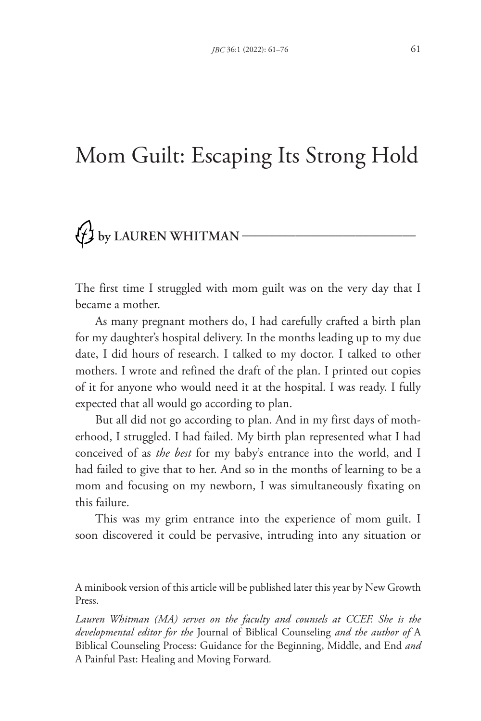## Mom Guilt: Escaping Its Strong Hold

## $\left\{\frac{1}{2}\right\}$  by LAUREN WHITMAN –

The first time I struggled with mom guilt was on the very day that I became a mother.

As many pregnant mothers do, I had carefully crafted a birth plan for my daughter's hospital delivery. In the months leading up to my due date, I did hours of research. I talked to my doctor. I talked to other mothers. I wrote and refined the draft of the plan. I printed out copies of it for anyone who would need it at the hospital. I was ready. I fully expected that all would go according to plan.

But all did not go according to plan. And in my first days of motherhood, I struggled. I had failed. My birth plan represented what I had conceived of as *the best* for my baby's entrance into the world, and I had failed to give that to her. And so in the months of learning to be a mom and focusing on my newborn, I was simultaneously fixating on this failure.

This was my grim entrance into the experience of mom guilt. I soon discovered it could be pervasive, intruding into any situation or

A minibook version of this article will be published later this year by New Growth Press.

Lauren Whitman (MA) serves on the faculty and counsels at CCEF. She is the *developmental editor for the* Journal of Biblical Counseling *and the author of* A Biblical Counseling Process: Guidance for the Beginning, Middle, and End *and*  A Painful Past: Healing and Moving Forward*.*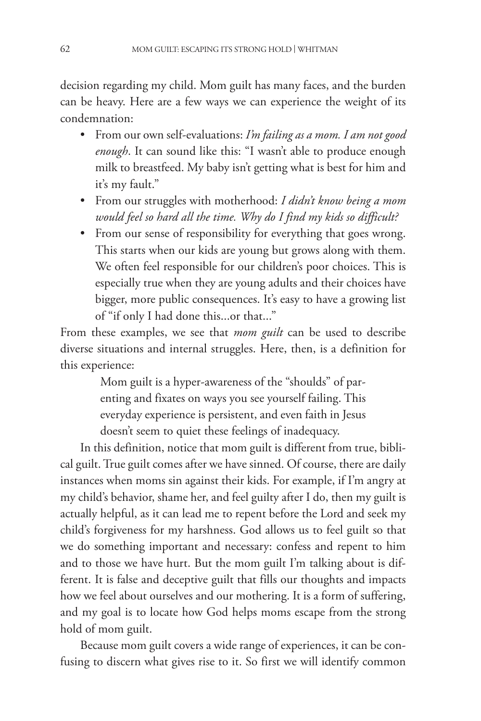decision regarding my child. Mom guilt has many faces, and the burden can be heavy. Here are a few ways we can experience the weight of its condemnation:

- From our own self-evaluations: *I'm failing as a mom. I am not good enough*. It can sound like this: "I wasn't able to produce enough milk to breastfeed. My baby isn't getting what is best for him and it's my fault."
- From our struggles with motherhood: *I didn't know being a mom would feel so hard all the time. Why do I find my kids so difficult?*
- From our sense of responsibility for everything that goes wrong. This starts when our kids are young but grows along with them. We often feel responsible for our children's poor choices. This is especially true when they are young adults and their choices have bigger, more public consequences. It's easy to have a growing list of "if only I had done this...or that..."

From these examples, we see that *mom guilt* can be used to describe diverse situations and internal struggles. Here, then, is a definition for this experience:

> Mom guilt is a hyper-awareness of the "shoulds" of parenting and fixates on ways you see yourself failing. This everyday experience is persistent, and even faith in Jesus doesn't seem to quiet these feelings of inadequacy.

In this definition, notice that mom guilt is different from true, biblical guilt. True guilt comes after we have sinned. Of course, there are daily instances when moms sin against their kids. For example, if I'm angry at my child's behavior, shame her, and feel guilty after I do, then my guilt is actually helpful, as it can lead me to repent before the Lord and seek my child's forgiveness for my harshness. God allows us to feel guilt so that we do something important and necessary: confess and repent to him and to those we have hurt. But the mom guilt I'm talking about is different. It is false and deceptive guilt that fills our thoughts and impacts how we feel about ourselves and our mothering. It is a form of suffering, and my goal is to locate how God helps moms escape from the strong hold of mom guilt.

Because mom guilt covers a wide range of experiences, it can be confusing to discern what gives rise to it. So first we will identify common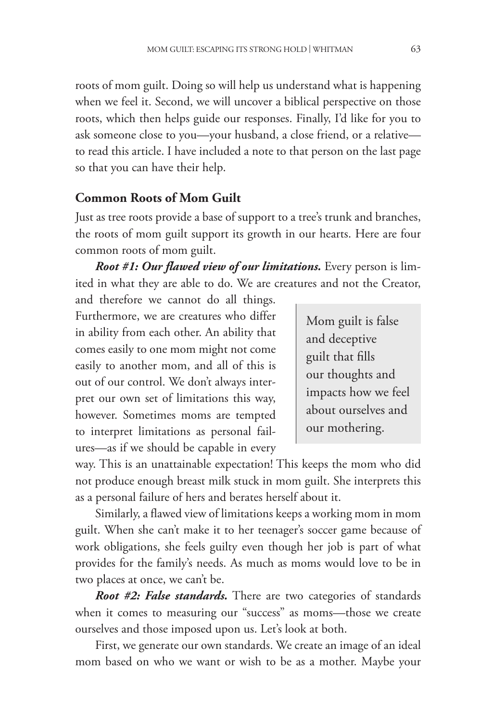roots of mom guilt. Doing so will help us understand what is happening when we feel it. Second, we will uncover a biblical perspective on those roots, which then helps guide our responses. Finally, I'd like for you to ask someone close to you—your husband, a close friend, or a relative to read this article. I have included a note to that person on the last page so that you can have their help.

## **Common Roots of Mom Guilt**

Just as tree roots provide a base of support to a tree's trunk and branches, the roots of mom guilt support its growth in our hearts. Here are four common roots of mom guilt.

*Root #1: Our flawed view of our limitations.* Every person is limited in what they are able to do. We are creatures and not the Creator,

and therefore we cannot do all things. Furthermore, we are creatures who differ in ability from each other. An ability that comes easily to one mom might not come easily to another mom, and all of this is out of our control. We don't always interpret our own set of limitations this way, however. Sometimes moms are tempted to interpret limitations as personal failures—as if we should be capable in every

Mom guilt is false and deceptive guilt that fills our thoughts and impacts how we feel about ourselves and our mothering.

way. This is an unattainable expectation! This keeps the mom who did not produce enough breast milk stuck in mom guilt. She interprets this as a personal failure of hers and berates herself about it.

Similarly, a flawed view of limitations keeps a working mom in mom guilt. When she can't make it to her teenager's soccer game because of work obligations, she feels guilty even though her job is part of what provides for the family's needs. As much as moms would love to be in two places at once, we can't be.

*Root #2: False standards.* There are two categories of standards when it comes to measuring our "success" as moms—those we create ourselves and those imposed upon us. Let's look at both.

First, we generate our own standards. We create an image of an ideal mom based on who we want or wish to be as a mother. Maybe your